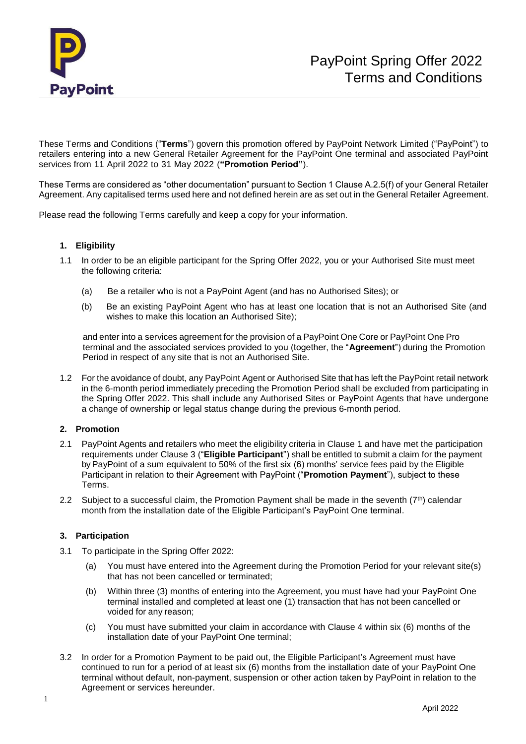

These Terms and Conditions ("**Terms**") govern this promotion offered by PayPoint Network Limited ("PayPoint") to retailers entering into a new General Retailer Agreement for the PayPoint One terminal and associated PayPoint services from 11 April 2022 to 31 May 2022 (**"Promotion Period"**).

These Terms are considered as "other documentation" pursuant to Section 1 Clause A.2.5(f) of your General Retailer Agreement. Any capitalised terms used here and not defined herein are as set out in the General Retailer Agreement.

Please read the following Terms carefully and keep a copy for your information.

## **1. Eligibility**

- 1.1 In order to be an eligible participant for the Spring Offer 2022, you or your Authorised Site must meet the following criteria:
	- (a) Be a retailer who is not a PayPoint Agent (and has no Authorised Sites); or
	- (b) Be an existing PayPoint Agent who has at least one location that is not an Authorised Site (and wishes to make this location an Authorised Site);

and enter into a services agreement for the provision of a PayPoint One Core or PayPoint One Pro terminal and the associated services provided to you (together, the "**Agreement**") during the Promotion Period in respect of any site that is not an Authorised Site.

1.2 For the avoidance of doubt, any PayPoint Agent or Authorised Site that has left the PayPoint retail network in the 6-month period immediately preceding the Promotion Period shall be excluded from participating in the Spring Offer 2022. This shall include any Authorised Sites or PayPoint Agents that have undergone a change of ownership or legal status change during the previous 6-month period.

## **2. Promotion**

- 2.1 PayPoint Agents and retailers who meet the eligibility criteria in Clause 1 and have met the participation requirements under Clause 3 ("**Eligible Participant**") shall be entitled to submit a claim for the payment by PayPoint of a sum equivalent to 50% of the first six (6) months' service fees paid by the Eligible Participant in relation to their Agreement with PayPoint ("**Promotion Payment**"), subject to these Terms.
- 2.2 Subject to a successful claim, the Promotion Payment shall be made in the seventh  $(7<sup>th</sup>)$  calendar month from the installation date of the Eligible Participant's PayPoint One terminal.

## **3. Participation**

- 3.1 To participate in the Spring Offer 2022:
	- (a) You must have entered into the Agreement during the Promotion Period for your relevant site(s) that has not been cancelled or terminated;
	- (b) Within three (3) months of entering into the Agreement, you must have had your PayPoint One terminal installed and completed at least one (1) transaction that has not been cancelled or voided for any reason;
	- (c) You must have submitted your claim in accordance with Clause 4 within six (6) months of the installation date of your PayPoint One terminal;
- 3.2 In order for a Promotion Payment to be paid out, the Eligible Participant's Agreement must have continued to run for a period of at least six (6) months from the installation date of your PayPoint One terminal without default, non-payment, suspension or other action taken by PayPoint in relation to the Agreement or services hereunder.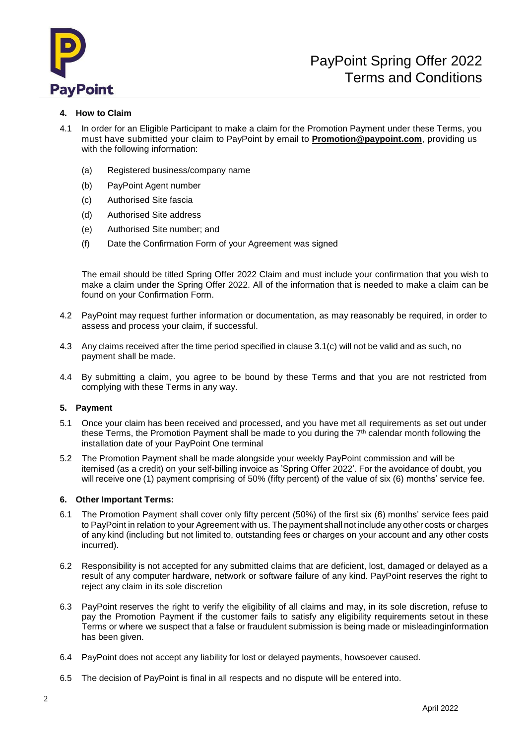

# **4. How to Claim**

- 4.1 In order for an Eligible Participant to make a claim for the Promotion Payment under these Terms, you must have submitted your claim to PayPoint by email to **[Promotion@paypoint.com](mailto:Promotion@paypoint.com)**, providing us with the following information:
	- (a) Registered business/company name
	- (b) PayPoint Agent number
	- (c) Authorised Site fascia
	- (d) Authorised Site address
	- (e) Authorised Site number; and
	- (f) Date the Confirmation Form of your Agreement was signed

The email should be titled Spring Offer 2022 Claim and must include your confirmation that you wish to make a claim under the Spring Offer 2022. All of the information that is needed to make a claim can be found on your Confirmation Form.

- 4.2 PayPoint may request further information or documentation, as may reasonably be required, in order to assess and process your claim, if successful.
- 4.3 Any claims received after the time period specified in clause 3.1(c) will not be valid and as such, no payment shall be made.
- 4.4 By submitting a claim, you agree to be bound by these Terms and that you are not restricted from complying with these Terms in any way.

## **5. Payment**

- 5.1 Once your claim has been received and processed, and you have met all requirements as set out under these Terms, the Promotion Payment shall be made to you during the  $7<sup>th</sup>$  calendar month following the installation date of your PayPoint One terminal
- 5.2 The Promotion Payment shall be made alongside your weekly PayPoint commission and will be itemised (as a credit) on your self-billing invoice as 'Spring Offer 2022'. For the avoidance of doubt, you will receive one (1) payment comprising of 50% (fifty percent) of the value of six (6) months' service fee.

## **6. Other Important Terms:**

- 6.1 The Promotion Payment shall cover only fifty percent (50%) of the first six (6) months' service fees paid to PayPoint in relation to your Agreement with us. The payment shall not include any other costs or charges of any kind (including but not limited to, outstanding fees or charges on your account and any other costs incurred).
- 6.2 Responsibility is not accepted for any submitted claims that are deficient, lost, damaged or delayed as a result of any computer hardware, network or software failure of any kind. PayPoint reserves the right to reject any claim in its sole discretion
- 6.3 PayPoint reserves the right to verify the eligibility of all claims and may, in its sole discretion, refuse to pay the Promotion Payment if the customer fails to satisfy any eligibility requirements setout in these Terms or where we suspect that a false or fraudulent submission is being made or misleadinginformation has been given.
- 6.4 PayPoint does not accept any liability for lost or delayed payments, howsoever caused.
- 6.5 The decision of PayPoint is final in all respects and no dispute will be entered into.